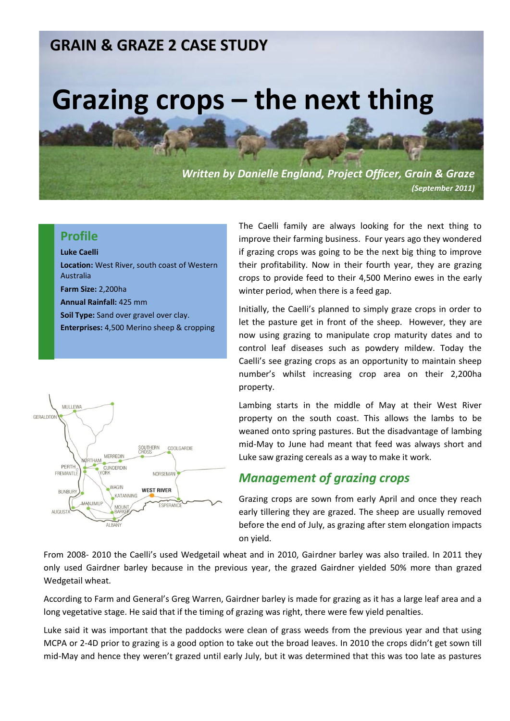## **GRAIN & GRAZE 2 CASE STUDY**

# **Grazing crops – the next thing**

*Written by Danielle England, Project Officer, Grain & Graze (September 2011)*

#### **Profile**

#### **Luke Caelli**

**Location:** West River, south coast of Western Australia **Farm Size:** 2,200ha **Annual Rainfall:** 425 mm **Soil Type:** Sand over gravel over clay. **Enterprises:** 4,500 Merino sheep & cropping



The Caelli family are always looking for the next thing to improve their farming business. Four years ago they wondered if grazing crops was going to be the next big thing to improve their profitability. Now in their fourth year, they are grazing crops to provide feed to their 4,500 Merino ewes in the early winter period, when there is a feed gap.

Initially, the Caelli's planned to simply graze crops in order to let the pasture get in front of the sheep. However, they are now using grazing to manipulate crop maturity dates and to control leaf diseases such as powdery mildew. Today the Caelli's see grazing crops as an opportunity to maintain sheep number's whilst increasing crop area on their 2,200ha property.

Lambing starts in the middle of May at their West River property on the south coast. This allows the lambs to be weaned onto spring pastures. But the disadvantage of lambing mid-May to June had meant that feed was always short and Luke saw grazing cereals as a way to make it work.

#### *Management of grazing crops*

Grazing crops are sown from early April and once they reach early tillering they are grazed. The sheep are usually removed before the end of July, as grazing after stem elongation impacts on yield.

From 2008- 2010 the Caelli's used Wedgetail wheat and in 2010, Gairdner barley was also trailed. In 2011 they only used Gairdner barley because in the previous year, the grazed Gairdner yielded 50% more than grazed Wedgetail wheat.

According to Farm and General's Greg Warren, Gairdner barley is made for grazing as it has a large leaf area and a long vegetative stage. He said that if the timing of grazing was right, there were few yield penalties.

Luke said it was important that the paddocks were clean of grass weeds from the previous year and that using MCPA or 2-4D prior to grazing is a good option to take out the broad leaves. In 2010 the crops didn't get sown till mid-May and hence they weren't grazed until early July, but it was determined that this was too late as pastures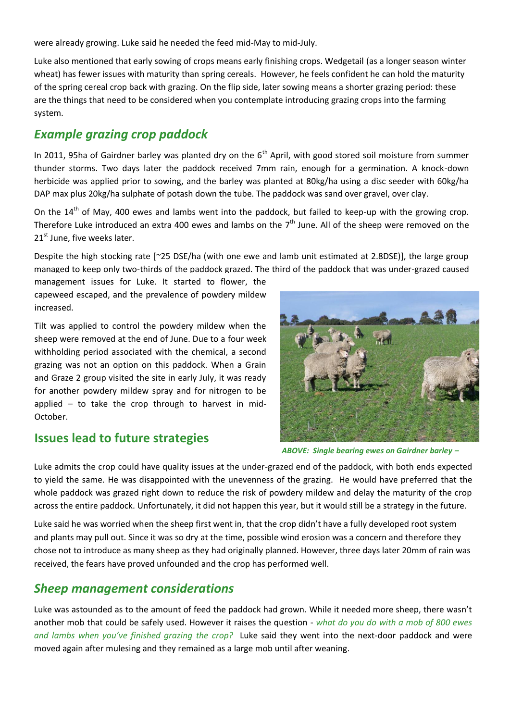were already growing. Luke said he needed the feed mid-May to mid-July.

Luke also mentioned that early sowing of crops means early finishing crops. Wedgetail (as a longer season winter wheat) has fewer issues with maturity than spring cereals. However, he feels confident he can hold the maturity of the spring cereal crop back with grazing. On the flip side, later sowing means a shorter grazing period: these are the things that need to be considered when you contemplate introducing grazing crops into the farming system.

### *Example grazing crop paddock*

In 2011, 95ha of Gairdner barley was planted dry on the  $6<sup>th</sup>$  April, with good stored soil moisture from summer thunder storms. Two days later the paddock received 7mm rain, enough for a germination. A knock-down herbicide was applied prior to sowing, and the barley was planted at 80kg/ha using a disc seeder with 60kg/ha DAP max plus 20kg/ha sulphate of potash down the tube. The paddock was sand over gravel, over clay.

On the  $14<sup>th</sup>$  of May, 400 ewes and lambs went into the paddock, but failed to keep-up with the growing crop. Therefore Luke introduced an extra 400 ewes and lambs on the  $7<sup>th</sup>$  June. All of the sheep were removed on the  $21<sup>st</sup>$  June, five weeks later.

Despite the high stocking rate [~25 DSE/ha (with one ewe and lamb unit estimated at 2.8DSE)], the large group managed to keep only two-thirds of the paddock grazed. The third of the paddock that was under-grazed caused

management issues for Luke. It started to flower, the capeweed escaped, and the prevalence of powdery mildew increased.

Tilt was applied to control the powdery mildew when the sheep were removed at the end of June. Due to a four week withholding period associated with the chemical, a second grazing was not an option on this paddock. When a Grain and Graze 2 group visited the site in early July, it was ready for another powdery mildew spray and for nitrogen to be applied – to take the crop through to harvest in mid-October.

#### **Issues lead to future strategies**



*ABOVE: Single bearing ewes on Gairdner barley –*

Luke admits the crop could have quality issues at the under-grazed end of the paddock, with both ends expected to yield the same. He was disappointed with the unevenness of the grazing. He would have preferred that the whole paddock was grazed right down to reduce the risk of powdery mildew and delay the maturity of the crop across the entire paddock. Unfortunately, it did not happen this year, but it would still be a strategy in the future.

Luke said he was worried when the sheep first went in, that the crop didn't have a fully developed root system and plants may pull out. Since it was so dry at the time, possible wind erosion was a concern and therefore they chose not to introduce as many sheep as they had originally planned. However, three days later 20mm of rain was received, the fears have proved unfounded and the crop has performed well.

#### *Sheep management considerations*

Luke was astounded as to the amount of feed the paddock had grown. While it needed more sheep, there wasn't another mob that could be safely used. However it raises the question - *what do you do with a mob of 800 ewes and lambs when you've finished grazing the crop?* Luke said they went into the next-door paddock and were moved again after mulesing and they remained as a large mob until after weaning.